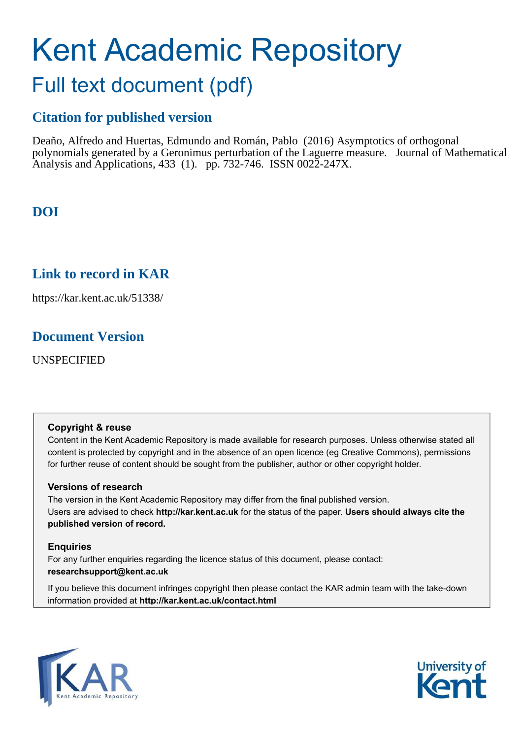# Kent Academic Repository

## Full text document (pdf)

## **Citation for published version**

Deaño, Alfredo and Huertas, Edmundo and Román, Pablo (2016) Asymptotics of orthogonal polynomials generated by a Geronimus perturbation of the Laguerre measure. Journal of Mathematical Analysis and Applications, 433 (1). pp. 732-746. ISSN 0022-247X.

## **DOI**

## **Link to record in KAR**

https://kar.kent.ac.uk/51338/

## **Document Version**

UNSPECIFIED

#### **Copyright & reuse**

Content in the Kent Academic Repository is made available for research purposes. Unless otherwise stated all content is protected by copyright and in the absence of an open licence (eg Creative Commons), permissions for further reuse of content should be sought from the publisher, author or other copyright holder.

#### **Versions of research**

The version in the Kent Academic Repository may differ from the final published version. Users are advised to check **http://kar.kent.ac.uk** for the status of the paper. **Users should always cite the published version of record.**

#### **Enquiries**

For any further enquiries regarding the licence status of this document, please contact: **researchsupport@kent.ac.uk**

If you believe this document infringes copyright then please contact the KAR admin team with the take-down information provided at **http://kar.kent.ac.uk/contact.html**



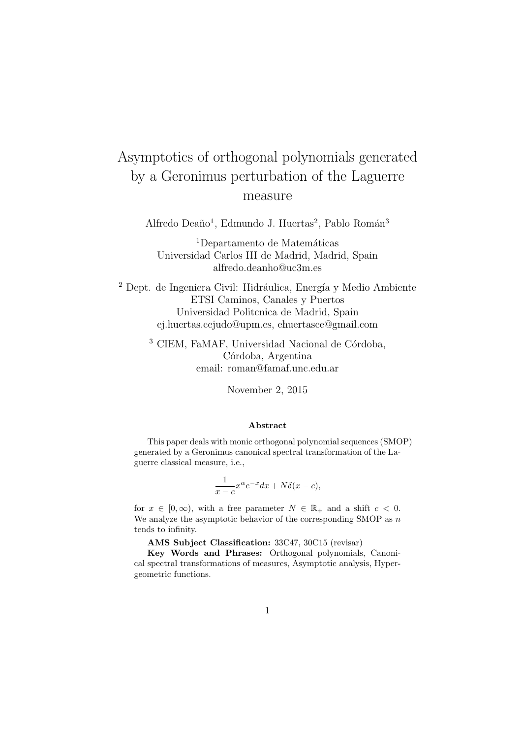## Asymptotics of orthogonal polynomials generated by a Geronimus perturbation of the Laguerre measure

Alfredo Deaño<sup>1</sup>, Edmundo J. Huertas<sup>2</sup>, Pablo Román<sup>3</sup>

 $1$ Departamento de Matemáticas Universidad Carlos III de Madrid, Madrid, Spain alfredo.deanho@uc3m.es

 $^2$  Dept. de Ingeniera Civil: Hidráulica, Energía y Medio Ambiente ETSI Caminos, Canales y Puertos Universidad Politcnica de Madrid, Spain ej.huertas.cejudo@upm.es, ehuertasce@gmail.com

 $3$  CIEM, FaMAF, Universidad Nacional de Córdoba, Córdoba, Argentina email: roman@famaf.unc.edu.ar

November 2, 2015

#### Abstract

This paper deals with monic orthogonal polynomial sequences (SMOP) generated by a Geronimus canonical spectral transformation of the Laguerre classical measure, i.e.,

$$
\frac{1}{x-c}x^{\alpha}e^{-x}dx + N\delta(x-c),
$$

for  $x \in [0, \infty)$ , with a free parameter  $N \in \mathbb{R}_+$  and a shift  $c < 0$ . We analyze the asymptotic behavior of the corresponding SMOP as  $n$ tends to infinity.

AMS Subject Classification: 33C47, 30C15 (revisar)

Key Words and Phrases: Orthogonal polynomials, Canonical spectral transformations of measures, Asymptotic analysis, Hypergeometric functions.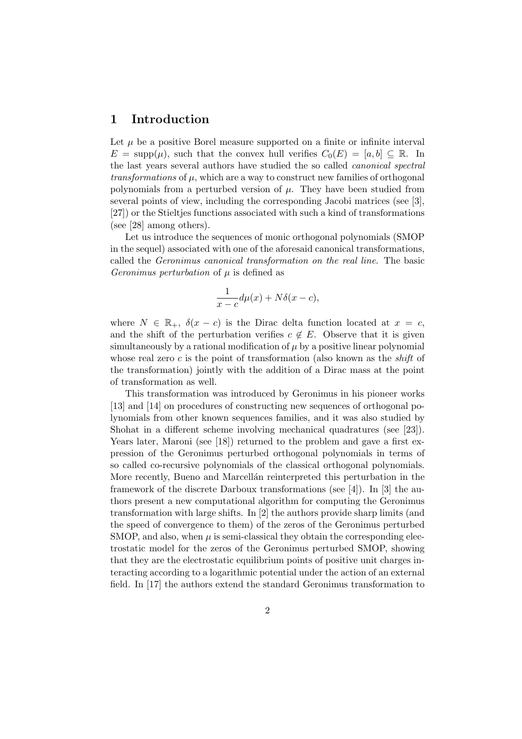#### 1 Introduction

Let  $\mu$  be a positive Borel measure supported on a finite or infinite interval  $E = \text{supp}(\mu)$ , such that the convex hull verifies  $C_0(E) = [a, b] \subset \mathbb{R}$ . In the last years several authors have studied the so called canonical spectral  $transformations$  of  $\mu$ , which are a way to construct new families of orthogonal polynomials from a perturbed version of  $\mu$ . They have been studied from several points of view, including the corresponding Jacobi matrices (see [3], [27]) or the Stieltjes functions associated with such a kind of transformations (see [28] among others).

Let us introduce the sequences of monic orthogonal polynomials (SMOP in the sequel) associated with one of the aforesaid canonical transformations, called the Geronimus canonical transformation on the real line. The basic Geronimus perturbation of  $\mu$  is defined as

$$
\frac{1}{x-c}d\mu(x) + N\delta(x-c),
$$

where  $N \in \mathbb{R}_+$ ,  $\delta(x-c)$  is the Dirac delta function located at  $x = c$ , and the shift of the perturbation verifies  $c \notin E$ . Observe that it is given simultaneously by a rational modification of  $\mu$  by a positive linear polynomial whose real zero c is the point of transformation (also known as the *shift* of the transformation) jointly with the addition of a Dirac mass at the point of transformation as well.

This transformation was introduced by Geronimus in his pioneer works [13] and [14] on procedures of constructing new sequences of orthogonal polynomials from other known sequences families, and it was also studied by Shohat in a different scheme involving mechanical quadratures (see [23]). Years later, Maroni (see [18]) returned to the problem and gave a first expression of the Geronimus perturbed orthogonal polynomials in terms of so called co-recursive polynomials of the classical orthogonal polynomials. More recently, Bueno and Marcellan reinterpreted this perturbation in the framework of the discrete Darboux transformations (see [4]). In [3] the authors present a new computational algorithm for computing the Geronimus transformation with large shifts. In [2] the authors provide sharp limits (and the speed of convergence to them) of the zeros of the Geronimus perturbed SMOP, and also, when  $\mu$  is semi-classical they obtain the corresponding electrostatic model for the zeros of the Geronimus perturbed SMOP, showing that they are the electrostatic equilibrium points of positive unit charges interacting according to a logarithmic potential under the action of an external field. In [17] the authors extend the standard Geronimus transformation to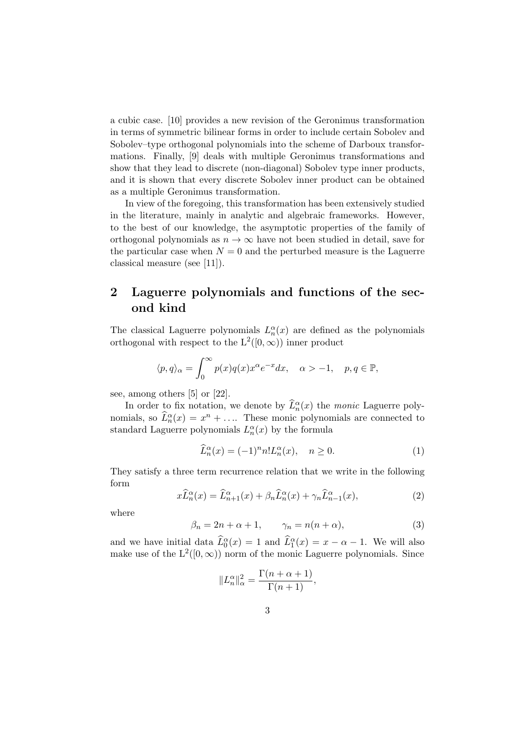a cubic case. [10] provides a new revision of the Geronimus transformation in terms of symmetric bilinear forms in order to include certain Sobolev and Sobolev–type orthogonal polynomials into the scheme of Darboux transformations. Finally, [9] deals with multiple Geronimus transformations and show that they lead to discrete (non-diagonal) Sobolev type inner products, and it is shown that every discrete Sobolev inner product can be obtained as a multiple Geronimus transformation.

In view of the foregoing, this transformation has been extensively studied in the literature, mainly in analytic and algebraic frameworks. However, to the best of our knowledge, the asymptotic properties of the family of orthogonal polynomials as  $n \to \infty$  have not been studied in detail, save for the particular case when  $N = 0$  and the perturbed measure is the Laguerre classical measure (see [11]).

#### 2 Laguerre polynomials and functions of the second kind

The classical Laguerre polynomials  $L_n^{\alpha}(x)$  are defined as the polynomials orthogonal with respect to the  $L^2([0,\infty))$  inner product

$$
\langle p, q \rangle_{\alpha} = \int_0^{\infty} p(x)q(x)x^{\alpha}e^{-x}dx, \quad \alpha > -1, \quad p, q \in \mathbb{P},
$$

see, among others [5] or [22].

In order to fix notation, we denote by  $\widehat{L}_n^{\alpha}(x)$  the monic Laguerre polynomials, so  $\widehat{L}_n^{\alpha}(x) = x^n + \dots$  These monic polynomials are connected to standard Laguerre polynomials  $L_n^{\alpha}(x)$  by the formula

$$
\widehat{L}_n^{\alpha}(x) = (-1)^n n! L_n^{\alpha}(x), \quad n \ge 0.
$$
\n(1)

They satisfy a three term recurrence relation that we write in the following form

$$
x\widehat{L}_n^{\alpha}(x) = \widehat{L}_{n+1}^{\alpha}(x) + \beta_n \widehat{L}_n^{\alpha}(x) + \gamma_n \widehat{L}_{n-1}^{\alpha}(x),\tag{2}
$$

where

$$
\beta_n = 2n + \alpha + 1, \qquad \gamma_n = n(n + \alpha), \tag{3}
$$

and we have initial data  $\widehat{L}_0^{\alpha}(x) = 1$  and  $\widehat{L}_1^{\alpha}(x) = x - \alpha - 1$ . We will also make use of the  $L^2([0,\infty))$  norm of the monic Laguerre polynomials. Since

$$
||L_n^{\alpha}||_{\alpha}^2 = \frac{\Gamma(n+\alpha+1)}{\Gamma(n+1)},
$$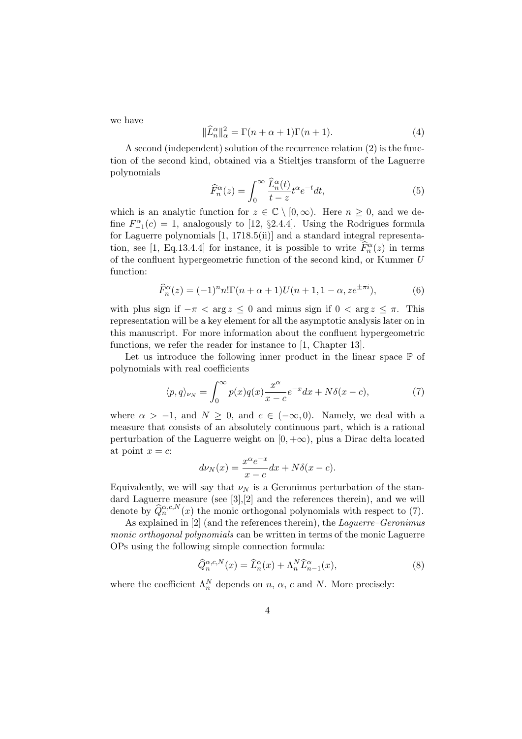we have

$$
\|\widehat{L}_n^{\alpha}\|_{\alpha}^2 = \Gamma(n+\alpha+1)\Gamma(n+1). \tag{4}
$$

A second (independent) solution of the recurrence relation (2) is the function of the second kind, obtained via a Stieltjes transform of the Laguerre polynomials

$$
\widehat{F}_n^{\alpha}(z) = \int_0^{\infty} \frac{\widehat{L}_n^{\alpha}(t)}{t - z} t^{\alpha} e^{-t} dt,
$$
\n(5)

which is an analytic function for  $z \in \mathbb{C} \setminus [0,\infty)$ . Here  $n \geq 0$ , and we define  $F_{-1}^{\alpha}(c) = 1$ , analogously to [12, §2.4.4]. Using the Rodrigues formula for Laguerre polynomials [1, 1718.5(ii)] and a standard integral representation, see [1, Eq.13.4.4] for instance, it is possible to write  $\widehat{F}_n^{\alpha}(z)$  in terms of the confluent hypergeometric function of the second kind, or Kummer U function:

$$
\widehat{F}_n^{\alpha}(z) = (-1)^n n! \Gamma(n + \alpha + 1) U(n + 1, 1 - \alpha, z e^{\pm \pi i}),
$$
\n(6)

with plus sign if  $-\pi < \arg z \leq 0$  and minus sign if  $0 < \arg z \leq \pi$ . This representation will be a key element for all the asymptotic analysis later on in this manuscript. For more information about the confluent hypergeometric functions, we refer the reader for instance to [1, Chapter 13].

Let us introduce the following inner product in the linear space  $\mathbb P$  of polynomials with real coefficients

$$
\langle p, q \rangle_{\nu_N} = \int_0^\infty p(x)q(x) \frac{x^\alpha}{x - c} e^{-x} dx + N\delta(x - c),\tag{7}
$$

where  $\alpha > -1$ , and  $N \geq 0$ , and  $c \in (-\infty, 0)$ . Namely, we deal with a measure that consists of an absolutely continuous part, which is a rational perturbation of the Laguerre weight on  $[0, +\infty)$ , plus a Dirac delta located at point  $x = c$ :

$$
d\nu_N(x) = \frac{x^{\alpha}e^{-x}}{x - c} dx + N\delta(x - c).
$$

Equivalently, we will say that  $\nu_N$  is a Geronimus perturbation of the standard Laguerre measure (see [3],[2] and the references therein), and we will denote by  $\widehat{Q}_n^{\alpha,c,N}(x)$  the monic orthogonal polynomials with respect to (7).

As explained in [2] (and the references therein), the *Laguerre–Geronimus* monic orthogonal polynomials can be written in terms of the monic Laguerre OPs using the following simple connection formula:

$$
\widehat{Q}_n^{\alpha,c,N}(x) = \widehat{L}_n^{\alpha}(x) + \Lambda_n^N \widehat{L}_{n-1}^{\alpha}(x),\tag{8}
$$

where the coefficient  $\Lambda_n^N$  depends on n,  $\alpha$ , c and N. More precisely: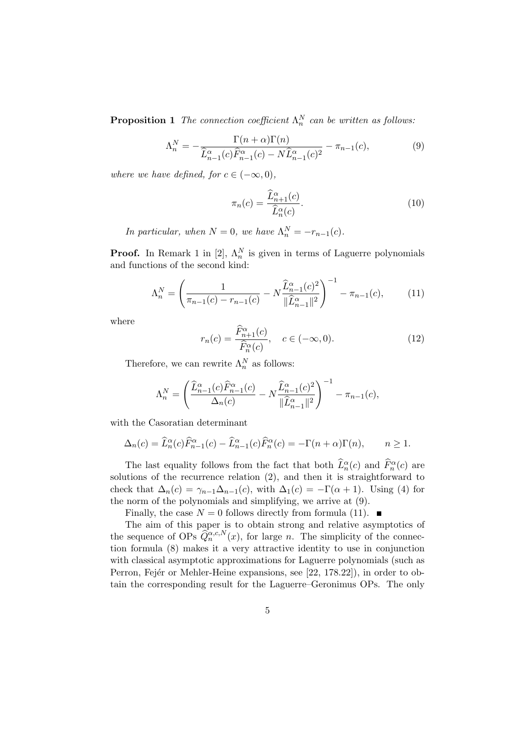**Proposition 1** The connection coefficient  $\Lambda_n^N$  can be written as follows:

$$
\Lambda_n^N = -\frac{\Gamma(n+\alpha)\Gamma(n)}{\widehat{L}_{n-1}^\alpha(c)\widehat{F}_{n-1}^\alpha(c) - N\widehat{L}_{n-1}^\alpha(c)^2} - \pi_{n-1}(c),\tag{9}
$$

where we have defined, for  $c \in (-\infty, 0)$ ,

$$
\pi_n(c) = \frac{\widehat{L}_{n+1}^{\alpha}(c)}{\widehat{L}_n^{\alpha}(c)}.
$$
\n(10)

In particular, when  $N = 0$ , we have  $\Lambda_n^N = -r_{n-1}(c)$ .

**Proof.** In Remark 1 in [2],  $\Lambda_n^N$  is given in terms of Laguerre polynomials and functions of the second kind:

$$
\Lambda_n^N = \left(\frac{1}{\pi_{n-1}(c) - r_{n-1}(c)} - N \frac{\widehat{L}_{n-1}^\alpha(c)^2}{\|\widehat{L}_{n-1}^\alpha\|^2}\right)^{-1} - \pi_{n-1}(c),\tag{11}
$$

where

$$
r_n(c) = \frac{\widehat{F}_{n+1}^{\alpha}(c)}{\widehat{F}_n^{\alpha}(c)}, \quad c \in (-\infty, 0). \tag{12}
$$

Therefore, we can rewrite  $\Lambda_n^N$  as follows:

$$
\Lambda_n^N = \left( \frac{\widehat{L}_{n-1}^{\alpha}(c)\widehat{F}_{n-1}^{\alpha}(c)}{\Delta_n(c)} - N \frac{\widehat{L}_{n-1}^{\alpha}(c)^2}{\|\widehat{L}_{n-1}^{\alpha}\|^2} \right)^{-1} - \pi_{n-1}(c),
$$

with the Casoratian determinant

$$
\Delta_n(c) = \widehat{L}_n^{\alpha}(c)\widehat{F}_{n-1}^{\alpha}(c) - \widehat{L}_{n-1}^{\alpha}(c)\widehat{F}_n^{\alpha}(c) = -\Gamma(n+\alpha)\Gamma(n), \qquad n \ge 1.
$$

The last equality follows from the fact that both  $\widehat{L}_n^{\alpha}(c)$  and  $\widehat{F}_n^{\alpha}(c)$  are solutions of the recurrence relation (2), and then it is straightforward to check that  $\Delta_n(c) = \gamma_{n-1}\Delta_{n-1}(c)$ , with  $\Delta_1(c) = -\Gamma(\alpha+1)$ . Using (4) for the norm of the polynomials and simplifying, we arrive at (9).

Finally, the case  $N = 0$  follows directly from formula (11).

The aim of this paper is to obtain strong and relative asymptotics of the sequence of OPs  $\widehat{Q}_n^{\alpha,c,N}(x)$ , for large n. The simplicity of the connection formula (8) makes it a very attractive identity to use in conjunction with classical asymptotic approximations for Laguerre polynomials (such as Perron, Fejér or Mehler-Heine expansions, see [22, 178.22]), in order to obtain the corresponding result for the Laguerre–Geronimus OPs. The only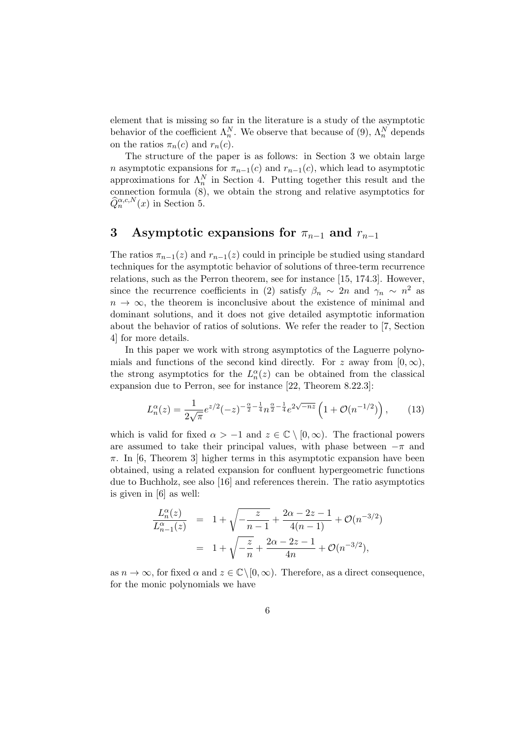element that is missing so far in the literature is a study of the asymptotic behavior of the coefficient  $\Lambda_n^N$ . We observe that because of (9),  $\Lambda_n^N$  depends on the ratios  $\pi_n(c)$  and  $r_n(c)$ .

The structure of the paper is as follows: in Section 3 we obtain large n asymptotic expansions for  $\pi_{n-1}(c)$  and  $r_{n-1}(c)$ , which lead to asymptotic approximations for  $\Lambda_n^N$  in Section 4. Putting together this result and the connection formula (8), we obtain the strong and relative asymptotics for  $\widehat{Q}_n^{\alpha,c,N}(x)$  in Section 5.

#### 3 Asymptotic expansions for  $\pi_{n-1}$  and  $r_{n-1}$

The ratios  $\pi_{n-1}(z)$  and  $r_{n-1}(z)$  could in principle be studied using standard techniques for the asymptotic behavior of solutions of three-term recurrence relations, such as the Perron theorem, see for instance [15, 174.3]. However, since the recurrence coefficients in (2) satisfy  $\beta_n \sim 2n$  and  $\gamma_n \sim n^2$  as  $n \to \infty$ , the theorem is inconclusive about the existence of minimal and dominant solutions, and it does not give detailed asymptotic information about the behavior of ratios of solutions. We refer the reader to [7, Section 4] for more details.

In this paper we work with strong asymptotics of the Laguerre polynomials and functions of the second kind directly. For z away from  $[0, \infty)$ , the strong asymptotics for the  $L_n^{\alpha}(z)$  can be obtained from the classical expansion due to Perron, see for instance [22, Theorem 8.22.3]:

$$
L_n^{\alpha}(z) = \frac{1}{2\sqrt{\pi}} e^{z/2} (-z)^{-\frac{\alpha}{2} - \frac{1}{4}} n^{\frac{\alpha}{2} - \frac{1}{4}} e^{2\sqrt{-nz}} \left( 1 + \mathcal{O}(n^{-1/2}) \right), \qquad (13)
$$

which is valid for fixed  $\alpha > -1$  and  $z \in \mathbb{C} \setminus [0, \infty)$ . The fractional powers are assumed to take their principal values, with phase between  $-\pi$  and  $\pi$ . In [6, Theorem 3] higher terms in this asymptotic expansion have been obtained, using a related expansion for confluent hypergeometric functions due to Buchholz, see also [16] and references therein. The ratio asymptotics is given in [6] as well:

$$
\frac{L_n^{\alpha}(z)}{L_{n-1}^{\alpha}(z)} = 1 + \sqrt{-\frac{z}{n-1}} + \frac{2\alpha - 2z - 1}{4(n-1)} + \mathcal{O}(n^{-3/2})
$$

$$
= 1 + \sqrt{-\frac{z}{n}} + \frac{2\alpha - 2z - 1}{4n} + \mathcal{O}(n^{-3/2}),
$$

as  $n \to \infty$ , for fixed  $\alpha$  and  $z \in \mathbb{C} \setminus [0, \infty)$ . Therefore, as a direct consequence, for the monic polynomials we have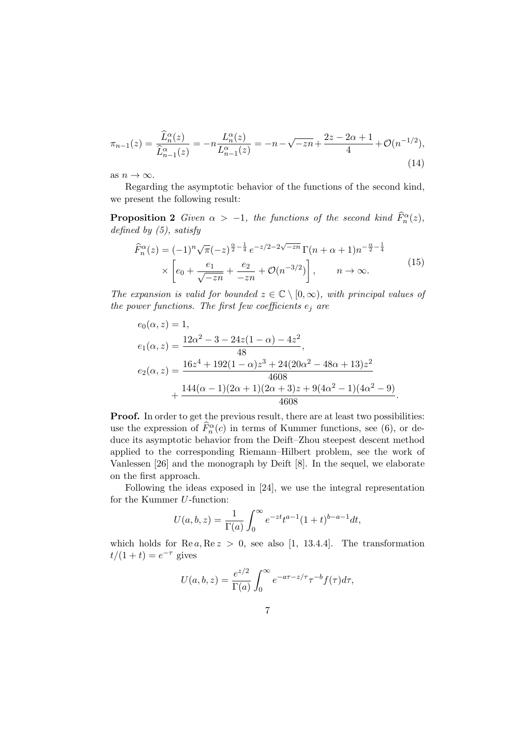$$
\pi_{n-1}(z) = \frac{\widehat{L}_n^{\alpha}(z)}{\widehat{L}_{n-1}^{\alpha}(z)} = -n \frac{L_n^{\alpha}(z)}{L_{n-1}^{\alpha}(z)} = -n - \sqrt{-zn} + \frac{2z - 2\alpha + 1}{4} + \mathcal{O}(n^{-1/2}),\tag{14}
$$

as  $n \to \infty$ .

Regarding the asymptotic behavior of the functions of the second kind, we present the following result:

**Proposition 2** Given  $\alpha > -1$ , the functions of the second kind  $\widehat{F}_n^{\alpha}(z)$ , defined by  $(5)$ , satisfy

$$
\widehat{F}_n^{\alpha}(z) = (-1)^n \sqrt{\pi} (-z)^{\frac{\alpha}{2} - \frac{1}{4}} e^{-z/2 - 2\sqrt{-zn}} \Gamma(n + \alpha + 1) n^{-\frac{\alpha}{2} - \frac{1}{4}} \times \left[ e_0 + \frac{e_1}{\sqrt{-zn}} + \frac{e_2}{-zn} + \mathcal{O}(n^{-3/2}) \right], \qquad n \to \infty.
$$
\n(15)

The expansion is valid for bounded  $z \in \mathbb{C} \setminus [0,\infty)$ , with principal values of the power functions. The first few coefficients  $e_i$  are

$$
e_0(\alpha, z) = 1,
$$
  
\n
$$
e_1(\alpha, z) = \frac{12\alpha^2 - 3 - 24z(1 - \alpha) - 4z^2}{48},
$$
  
\n
$$
e_2(\alpha, z) = \frac{16z^4 + 192(1 - \alpha)z^3 + 24(20\alpha^2 - 48\alpha + 13)z^2}{4608} + \frac{144(\alpha - 1)(2\alpha + 1)(2\alpha + 3)z + 9(4\alpha^2 - 1)(4\alpha^2 - 9)}{4608}.
$$

Proof. In order to get the previous result, there are at least two possibilities: use the expression of  $\widehat{F}_n^{\alpha}(c)$  in terms of Kummer functions, see (6), or deduce its asymptotic behavior from the Deift–Zhou steepest descent method applied to the corresponding Riemann–Hilbert problem, see the work of Vanlessen [26] and the monograph by Deift [8]. In the sequel, we elaborate on the first approach.

Following the ideas exposed in [24], we use the integral representation for the Kummer U-function:

$$
U(a, b, z) = \frac{1}{\Gamma(a)} \int_0^\infty e^{-zt} t^{a-1} (1+t)^{b-a-1} dt,
$$

which holds for  $\text{Re } a, \text{Re } z > 0$ , see also [1, 13.4.4]. The transformation  $t/(1+t) = e^{-\tau}$  gives

$$
U(a,b,z) = \frac{e^{z/2}}{\Gamma(a)} \int_0^\infty e^{-a\tau - z/\tau} \tau^{-b} f(\tau) d\tau,
$$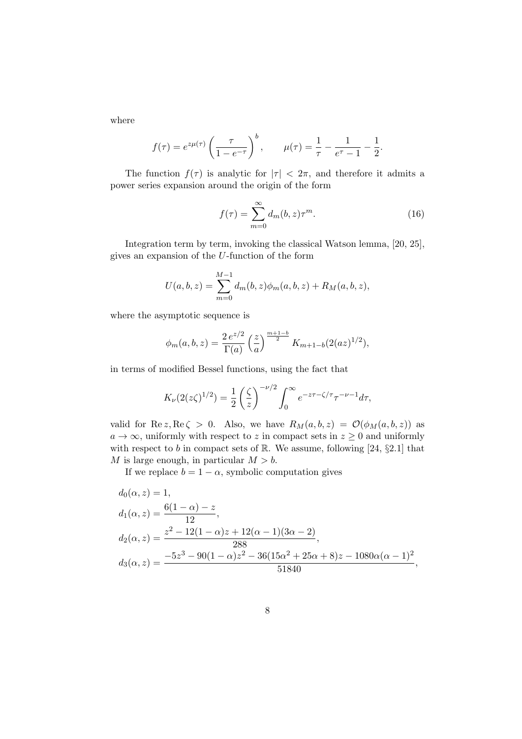where

$$
f(\tau) = e^{z\mu(\tau)} \left(\frac{\tau}{1 - e^{-\tau}}\right)^b
$$
,  $\mu(\tau) = \frac{1}{\tau} - \frac{1}{e^{\tau} - 1} - \frac{1}{2}$ .

The function  $f(\tau)$  is analytic for  $|\tau| < 2\pi$ , and therefore it admits a power series expansion around the origin of the form

$$
f(\tau) = \sum_{m=0}^{\infty} d_m(b, z) \tau^m.
$$
 (16)

Integration term by term, invoking the classical Watson lemma, [20, 25], gives an expansion of the U-function of the form

$$
U(a, b, z) = \sum_{m=0}^{M-1} d_m(b, z) \phi_m(a, b, z) + R_M(a, b, z),
$$

where the asymptotic sequence is

$$
\phi_m(a,b,z) = \frac{2\,e^{z/2}}{\Gamma(a)}\left(\frac{z}{a}\right)^{\frac{m+1-b}{2}}K_{m+1-b}(2(az)^{1/2}),
$$

in terms of modified Bessel functions, using the fact that

$$
K_{\nu}(2(z\zeta)^{1/2}) = \frac{1}{2} \left(\frac{\zeta}{z}\right)^{-\nu/2} \int_0^{\infty} e^{-z\tau - \zeta/\tau} \tau^{-\nu - 1} d\tau,
$$

valid for Re z, Re  $\zeta > 0$ . Also, we have  $R_M(a, b, z) = \mathcal{O}(\phi_M(a, b, z))$  as  $a \to \infty$ , uniformly with respect to z in compact sets in  $z \geq 0$  and uniformly with respect to b in compact sets of  $\mathbb{R}$ . We assume, following [24, §2.1] that M is large enough, in particular  $M > b$ .

If we replace  $b = 1 - \alpha$ , symbolic computation gives

$$
d_0(\alpha, z) = 1,
$$
  
\n
$$
d_1(\alpha, z) = \frac{6(1 - \alpha) - z}{12},
$$
  
\n
$$
d_2(\alpha, z) = \frac{z^2 - 12(1 - \alpha)z + 12(\alpha - 1)(3\alpha - 2)}{288},
$$
  
\n
$$
d_3(\alpha, z) = \frac{-5z^3 - 90(1 - \alpha)z^2 - 36(15\alpha^2 + 25\alpha + 8)z - 1080\alpha(\alpha - 1)^2}{51840},
$$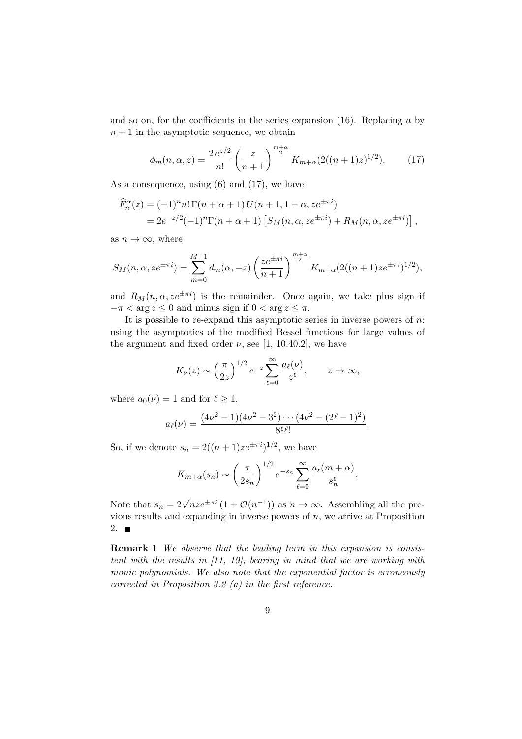and so on, for the coefficients in the series expansion  $(16)$ . Replacing a by  $n + 1$  in the asymptotic sequence, we obtain

$$
\phi_m(n,\alpha,z) = \frac{2\,e^{z/2}}{n!} \left(\frac{z}{n+1}\right)^{\frac{m+\alpha}{2}} K_{m+\alpha}(2((n+1)z)^{1/2}).\tag{17}
$$

As a consequence, using (6) and (17), we have

$$
\begin{aligned} \widehat{F}_n^{\alpha}(z) &= (-1)^n n! \Gamma(n+\alpha+1) \, U(n+1, 1-\alpha, z e^{\pm \pi i}) \\ &= 2e^{-z/2} (-1)^n \Gamma(n+\alpha+1) \left[ S_M(n, \alpha, z e^{\pm \pi i}) + R_M(n, \alpha, z e^{\pm \pi i}) \right], \end{aligned}
$$

as  $n \to \infty$ , where

$$
S_M(n, \alpha, z e^{\pm \pi i}) = \sum_{m=0}^{M-1} d_m(\alpha, -z) \left(\frac{z e^{\pm \pi i}}{n+1}\right)^{\frac{m+\alpha}{2}} K_{m+\alpha}(2((n+1) z e^{\pm \pi i})^{1/2}),
$$

and  $R_M(n, \alpha, z e^{\pm \pi i})$  is the remainder. Once again, we take plus sign if  $-\pi < \arg z \leq 0$  and minus sign if  $0 < \arg z \leq \pi$ .

It is possible to re-expand this asymptotic series in inverse powers of  $n$ . using the asymptotics of the modified Bessel functions for large values of the argument and fixed order  $\nu$ , see [1, 10.40.2], we have

$$
K_{\nu}(z) \sim \left(\frac{\pi}{2z}\right)^{1/2} e^{-z} \sum_{\ell=0}^{\infty} \frac{a_{\ell}(\nu)}{z^{\ell}}, \qquad z \to \infty,
$$

where  $a_0(\nu) = 1$  and for  $\ell > 1$ ,

$$
a_{\ell}(\nu) = \frac{(4\nu^2 - 1)(4\nu^2 - 3^2)\cdots(4\nu^2 - (2\ell - 1)^2)}{8^{\ell}\ell!}.
$$

So, if we denote  $s_n = 2((n+1)ze^{\pm \pi i})^{1/2}$ , we have

$$
K_{m+\alpha}(s_n) \sim \left(\frac{\pi}{2s_n}\right)^{1/2} e^{-s_n} \sum_{\ell=0}^{\infty} \frac{a_{\ell}(m+\alpha)}{s_n^{\ell}}.
$$

Note that  $s_n = 2\sqrt{nze^{\pm \pi i}} (1 + \mathcal{O}(n^{-1}))$  as  $n \to \infty$ . Assembling all the previous results and expanding in inverse powers of  $n$ , we arrive at Proposition 2.  $\blacksquare$ 

Remark 1 We observe that the leading term in this expansion is consistent with the results in [11, 19], bearing in mind that we are working with monic polynomials. We also note that the exponential factor is erroneously corrected in Proposition 3.2 (a) in the first reference.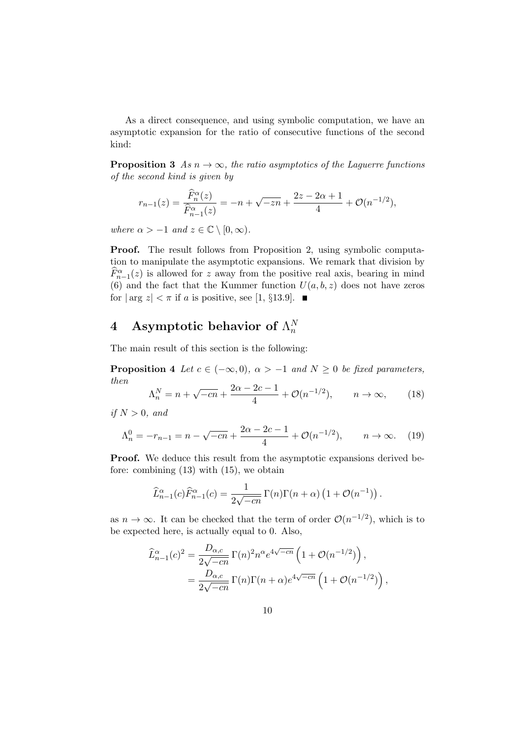As a direct consequence, and using symbolic computation, we have an asymptotic expansion for the ratio of consecutive functions of the second kind:

**Proposition 3** As  $n \to \infty$ , the ratio asymptotics of the Laguerre functions of the second kind is given by

$$
r_{n-1}(z) = \frac{\widehat{F}_n^{\alpha}(z)}{\widehat{F}_{n-1}^{\alpha}(z)} = -n + \sqrt{-zn} + \frac{2z - 2\alpha + 1}{4} + \mathcal{O}(n^{-1/2}),
$$

where  $\alpha > -1$  and  $z \in \mathbb{C} \setminus [0, \infty)$ .

Proof. The result follows from Proposition 2, using symbolic computation to manipulate the asymptotic expansions. We remark that division by  $\widehat{F}_{n-1}^{\alpha}(z)$  is allowed for z away from the positive real axis, bearing in mind (6) and the fact that the Kummer function  $U(a, b, z)$  does not have zeros for  $|\arg z| < \pi$  if a is positive, see [1, §13.9].  $\blacksquare$ 

#### 4 Asymptotic behavior of  $\Lambda_n^N$ n

The main result of this section is the following:

**Proposition 4** Let  $c \in (-\infty, 0)$ ,  $\alpha > -1$  and  $N \ge 0$  be fixed parameters, then

$$
\Lambda_n^N = n + \sqrt{-cn} + \frac{2\alpha - 2c - 1}{4} + \mathcal{O}(n^{-1/2}), \qquad n \to \infty,
$$
 (18)

if  $N > 0$ , and

$$
\Lambda_n^0 = -r_{n-1} = n - \sqrt{-cn} + \frac{2\alpha - 2c - 1}{4} + \mathcal{O}(n^{-1/2}), \qquad n \to \infty.
$$
 (19)

**Proof.** We deduce this result from the asymptotic expansions derived before: combining (13) with (15), we obtain

$$
\widehat{L}_{n-1}^{\alpha}(c)\widehat{F}_{n-1}^{\alpha}(c) = \frac{1}{2\sqrt{-cn}}\,\Gamma(n)\Gamma(n+\alpha)\left(1+\mathcal{O}(n^{-1})\right).
$$

as  $n \to \infty$ . It can be checked that the term of order  $\mathcal{O}(n^{-1/2})$ , which is to be expected here, is actually equal to 0. Also,

$$
\begin{split} \widehat{L}_{n-1}^{\alpha}(c)^{2} &= \frac{D_{\alpha,c}}{2\sqrt{-cn}} \,\Gamma(n)^{2} n^{\alpha} e^{4\sqrt{-cn}} \left( 1 + \mathcal{O}(n^{-1/2}) \right), \\ &= \frac{D_{\alpha,c}}{2\sqrt{-cn}} \,\Gamma(n) \Gamma(n+\alpha) e^{4\sqrt{-cn}} \left( 1 + \mathcal{O}(n^{-1/2}) \right), \end{split}
$$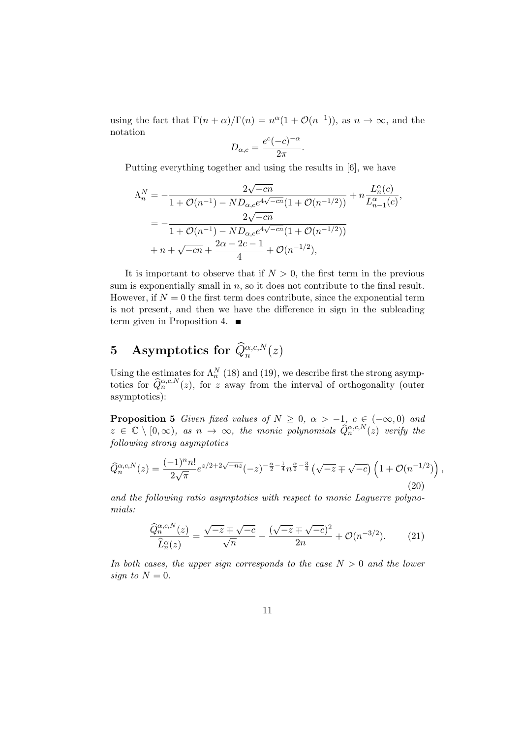using the fact that  $\Gamma(n+\alpha)/\Gamma(n) = n^{\alpha}(1+\mathcal{O}(n^{-1}))$ , as  $n \to \infty$ , and the notation

$$
D_{\alpha,c} = \frac{e^c(-c)^{-\alpha}}{2\pi}.
$$

Putting everything together and using the results in [6], we have

$$
\Lambda_n^N = -\frac{2\sqrt{-cn}}{1 + \mathcal{O}(n^{-1}) - ND_{\alpha,c}e^{4\sqrt{-cn}}(1 + \mathcal{O}(n^{-1/2}))} + n\frac{L_n^{\alpha}(c)}{L_{n-1}^{\alpha}(c)},
$$
  
= 
$$
-\frac{2\sqrt{-cn}}{1 + \mathcal{O}(n^{-1}) - ND_{\alpha,c}e^{4\sqrt{-cn}}(1 + \mathcal{O}(n^{-1/2}))}
$$

$$
+ n + \sqrt{-cn} + \frac{2\alpha - 2c - 1}{4} + \mathcal{O}(n^{-1/2}),
$$

It is important to observe that if  $N > 0$ , the first term in the previous sum is exponentially small in  $n$ , so it does not contribute to the final result. However, if  $N = 0$  the first term does contribute, since the exponential term is not present, and then we have the difference in sign in the subleading term given in Proposition 4.

## 5 Asymptotics for  $\widehat{Q}_n^{\alpha,c,N}(z)$

Using the estimates for  $\Lambda_n^N$  (18) and (19), we describe first the strong asymptotics for  $\widehat{Q}_n^{\alpha,c,N}(z)$ , for z away from the interval of orthogonality (outer asymptotics):

**Proposition 5** Given fixed values of  $N \geq 0$ ,  $\alpha > -1$ ,  $c \in (-\infty, 0)$  and  $z \in \mathbb{C} \setminus [0,\infty)$ , as  $n \to \infty$ , the monic polynomials  $\widehat{Q}_n^{\alpha,c,N}(z)$  verify the following strong asymptotics

$$
\widehat{Q}_n^{\alpha,c,N}(z) = \frac{(-1)^n n!}{2\sqrt{\pi}} e^{z/2 + 2\sqrt{-nz}} (-z)^{-\frac{\alpha}{2} - \frac{1}{4}} n^{\frac{\alpha}{2} - \frac{3}{4}} \left(\sqrt{-z} \mp \sqrt{-c}\right) \left(1 + \mathcal{O}(n^{-1/2})\right),\tag{20}
$$

and the following ratio asymptotics with respect to monic Laquerre polynomials:

$$
\frac{\widehat{Q}_n^{\alpha,c,N}(z)}{\widehat{L}_n^{\alpha}(z)} = \frac{\sqrt{-z} \mp \sqrt{-c}}{\sqrt{n}} - \frac{(\sqrt{-z} \mp \sqrt{-c})^2}{2n} + \mathcal{O}(n^{-3/2}).\tag{21}
$$

In both cases, the upper sign corresponds to the case  $N > 0$  and the lower sign to  $N = 0$ .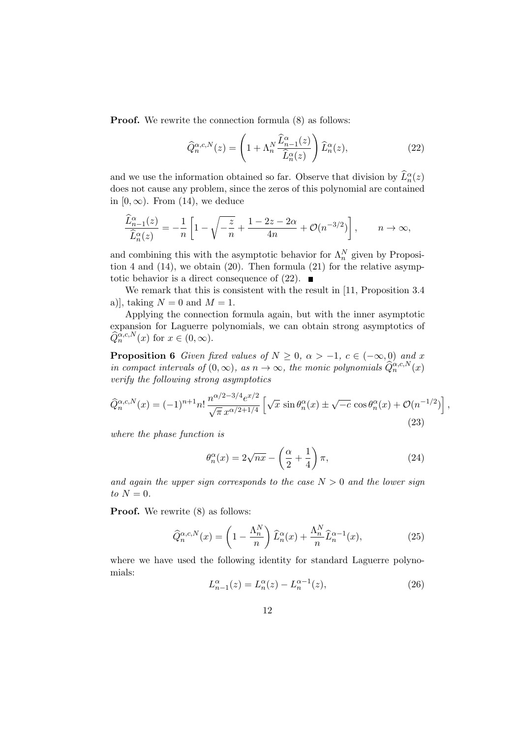**Proof.** We rewrite the connection formula  $(8)$  as follows:

$$
\widehat{Q}_n^{\alpha,c,N}(z) = \left(1 + \Lambda_n^N \frac{\widehat{L}_{n-1}^{\alpha}(z)}{\widehat{L}_n^{\alpha}(z)}\right) \widehat{L}_n^{\alpha}(z),\tag{22}
$$

and we use the information obtained so far. Observe that division by  $\widehat{L}_n^{\alpha}(z)$ does not cause any problem, since the zeros of this polynomial are contained in  $[0, \infty)$ . From  $(14)$ , we deduce

$$
\frac{\widehat{L}_{n-1}^{\alpha}(z)}{\widehat{L}_{n}^{\alpha}(z)} = -\frac{1}{n} \left[ 1 - \sqrt{-\frac{z}{n}} + \frac{1 - 2z - 2\alpha}{4n} + \mathcal{O}(n^{-3/2}) \right], \qquad n \to \infty,
$$

and combining this with the asymptotic behavior for  $\Lambda_n^N$  given by Proposition 4 and  $(14)$ , we obtain  $(20)$ . Then formula  $(21)$  for the relative asymptotic behavior is a direct consequence of  $(22)$ .

We remark that this is consistent with the result in [11, Proposition 3.4 a)], taking  $N = 0$  and  $M = 1$ .

Applying the connection formula again, but with the inner asymptotic expansion for Laguerre polynomials, we can obtain strong asymptotics of  $\widehat{Q}_n^{\alpha,c,N}(x)$  for  $x \in (0,\infty)$ .

**Proposition 6** Given fixed values of  $N \geq 0$ ,  $\alpha > -1$ ,  $c \in (-\infty, 0)$  and x in compact intervals of  $(0, \infty)$ , as  $n \to \infty$ , the monic polynomials  $\widehat{Q}_n^{\alpha,c,N}(x)$ verify the following strong asymptotics

$$
\widehat{Q}_n^{\alpha,c,N}(x) = (-1)^{n+1} n! \frac{n^{\alpha/2 - 3/4} e^{x/2}}{\sqrt{\pi} x^{\alpha/2 + 1/4}} \left[ \sqrt{x} \sin \theta_n^{\alpha}(x) \pm \sqrt{-c} \cos \theta_n^{\alpha}(x) + \mathcal{O}(n^{-1/2}) \right],
$$
\n(23)

where the phase function is

$$
\theta_n^{\alpha}(x) = 2\sqrt{nx} - \left(\frac{\alpha}{2} + \frac{1}{4}\right)\pi,\tag{24}
$$

and again the upper sign corresponds to the case  $N > 0$  and the lower sign to  $N = 0$ .

**Proof.** We rewrite  $(8)$  as follows:

$$
\widehat{Q}_n^{\alpha,c,N}(x) = \left(1 - \frac{\Lambda_n^N}{n}\right) \widehat{L}_n^{\alpha}(x) + \frac{\Lambda_n^N}{n} \widehat{L}_n^{\alpha-1}(x),\tag{25}
$$

where we have used the following identity for standard Laguerre polynomials:

$$
L_{n-1}^{\alpha}(z) = L_n^{\alpha}(z) - L_n^{\alpha - 1}(z),
$$
\n(26)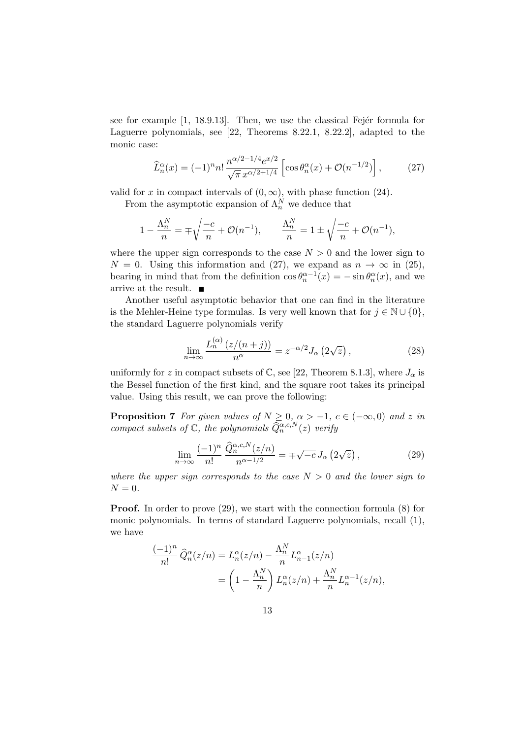see for example  $[1, 18.9.13]$ . Then, we use the classical Fejer formula for Laguerre polynomials, see [22, Theorems 8.22.1, 8.22.2], adapted to the monic case:

$$
\widehat{L}_n^{\alpha}(x) = (-1)^n n! \frac{n^{\alpha/2 - 1/4} e^{x/2}}{\sqrt{\pi} x^{\alpha/2 + 1/4}} \left[ \cos \theta_n^{\alpha}(x) + \mathcal{O}(n^{-1/2}) \right],\tag{27}
$$

valid for x in compact intervals of  $(0, \infty)$ , with phase function (24).

From the asymptotic expansion of  $\Lambda_n^N$  we deduce that

$$
1 - \frac{\Lambda_n^N}{n} = \mp \sqrt{\frac{-c}{n}} + \mathcal{O}(n^{-1}), \qquad \frac{\Lambda_n^N}{n} = 1 \pm \sqrt{\frac{-c}{n}} + \mathcal{O}(n^{-1}),
$$

where the upper sign corresponds to the case  $N > 0$  and the lower sign to  $N = 0$ . Using this information and (27), we expand as  $n \to \infty$  in (25), bearing in mind that from the definition  $\cos \theta_n^{\alpha-1}(x) = -\sin \theta_n^{\alpha}(x)$ , and we arrive at the result.  $\blacksquare$ 

Another useful asymptotic behavior that one can find in the literature is the Mehler-Heine type formulas. Is very well known that for  $j \in \mathbb{N} \cup \{0\}$ , the standard Laguerre polynomials verify

$$
\lim_{n \to \infty} \frac{L_n^{(\alpha)}(z/(n+j))}{n^{\alpha}} = z^{-\alpha/2} J_{\alpha} \left(2\sqrt{z}\right),\tag{28}
$$

uniformly for z in compact subsets of C, see [22, Theorem 8.1.3], where  $J_{\alpha}$  is the Bessel function of the first kind, and the square root takes its principal value. Using this result, we can prove the following:

**Proposition 7** For given values of  $N \geq 0, \alpha > -1, c \in (-\infty, 0)$  and z in compact subsets of  $\mathbb{C}$ , the polynomials  $\widehat{Q}_n^{\alpha,c,N}(z)$  verify

$$
\lim_{n \to \infty} \frac{(-1)^n}{n!} \frac{\widehat{Q}_n^{\alpha,c,N}(z/n)}{n^{\alpha-1/2}} = \mp \sqrt{-c} J_\alpha \left(2\sqrt{z}\right),\tag{29}
$$

where the upper sign corresponds to the case  $N > 0$  and the lower sign to  $N = 0$ .

Proof. In order to prove (29), we start with the connection formula (8) for monic polynomials. In terms of standard Laguerre polynomials, recall (1), we have

$$
\frac{(-1)^n}{n!} \widehat{Q}_n^{\alpha}(z/n) = L_n^{\alpha}(z/n) - \frac{\Lambda_n^N}{n} L_{n-1}^{\alpha}(z/n)
$$

$$
= \left(1 - \frac{\Lambda_n^N}{n}\right) L_n^{\alpha}(z/n) + \frac{\Lambda_n^N}{n} L_n^{\alpha-1}(z/n),
$$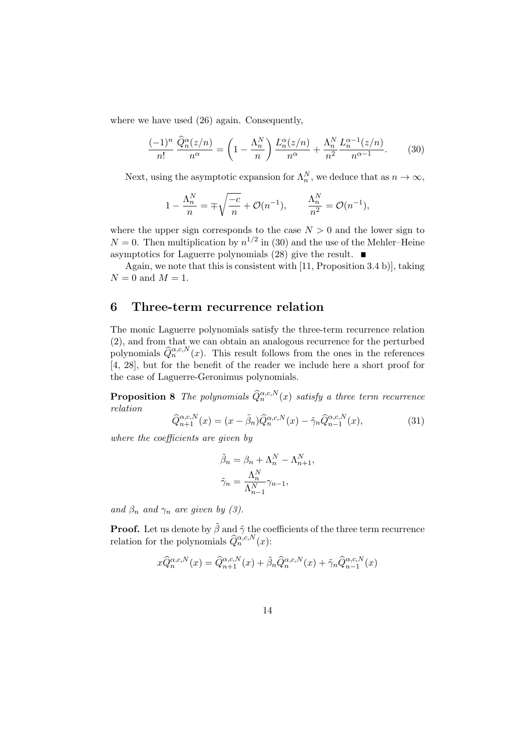where we have used (26) again. Consequently,

$$
\frac{(-1)^n}{n!} \frac{\hat{Q}_n^{\alpha}(z/n)}{n^{\alpha}} = \left(1 - \frac{\Lambda_n^N}{n}\right) \frac{L_n^{\alpha}(z/n)}{n^{\alpha}} + \frac{\Lambda_n^N}{n^2} \frac{L_n^{\alpha-1}(z/n)}{n^{\alpha-1}}.
$$
 (30)

Next, using the asymptotic expansion for  $\Lambda_n^N$ , we deduce that as  $n \to \infty$ ,

$$
1 - \frac{\Lambda_n^N}{n} = \mp \sqrt{\frac{-c}{n}} + \mathcal{O}(n^{-1}), \qquad \frac{\Lambda_n^N}{n^2} = \mathcal{O}(n^{-1}),
$$

where the upper sign corresponds to the case  $N > 0$  and the lower sign to  $N = 0$ . Then multiplication by  $n^{1/2}$  in (30) and the use of the Mehler–Heine asymptotics for Laguerre polynomials (28) give the result.  $\blacksquare$ 

Again, we note that this is consistent with [11, Proposition 3.4 b)], taking  $N = 0$  and  $M = 1$ .

#### 6 Three-term recurrence relation

The monic Laguerre polynomials satisfy the three-term recurrence relation (2), and from that we can obtain an analogous recurrence for the perturbed polynomials  $\widehat{Q}_n^{\alpha,c,N}(x)$ . This result follows from the ones in the references [4, 28], but for the benefit of the reader we include here a short proof for the case of Laguerre-Geronimus polynomials.

**Proposition 8** The polynomials  $\widehat{Q}_n^{\alpha,c,N}(x)$  satisfy a three term recurrence relation

$$
\widehat{Q}_{n+1}^{\alpha,c,N}(x) = (x - \widetilde{\beta}_n) \widehat{Q}_n^{\alpha,c,N}(x) - \widetilde{\gamma}_n \widehat{Q}_{n-1}^{\alpha,c,N}(x),\tag{31}
$$

where the coefficients are given by

$$
\tilde{\beta}_n = \beta_n + \Lambda_n^N - \Lambda_{n+1}^N,
$$
  

$$
\tilde{\gamma}_n = \frac{\Lambda_n^N}{\Lambda_{n-1}^N} \gamma_{n-1},
$$

and  $\beta_n$  and  $\gamma_n$  are given by (3).

**Proof.** Let us denote by  $\tilde{\beta}$  and  $\tilde{\gamma}$  the coefficients of the three term recurrence relation for the polynomials  $\widehat{Q}_n^{\alpha,c,N}(x)$ :

$$
x\widehat{Q}_n^{\alpha,c,N}(x) = \widehat{Q}_{n+1}^{\alpha,c,N}(x) + \widetilde{\beta}_n \widehat{Q}_n^{\alpha,c,N}(x) + \widetilde{\gamma}_n \widehat{Q}_{n-1}^{\alpha,c,N}(x)
$$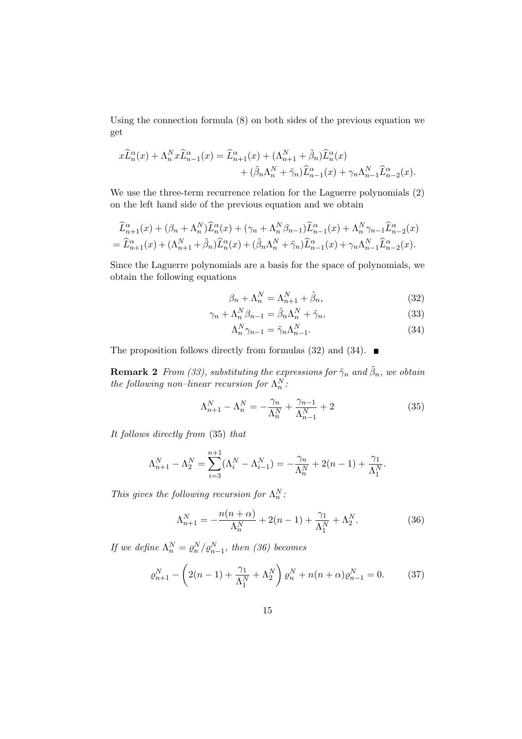Using the connection formula (8) on both sides of the previous equation we get

$$
x\widehat{L}_n^{\alpha}(x) + \Lambda_n^N x \widehat{L}_{n-1}^{\alpha}(x) = \widehat{L}_{n+1}^{\alpha}(x) + (\Lambda_{n+1}^N + \widetilde{\beta}_n) \widehat{L}_n^{\alpha}(x) + (\widetilde{\beta}_n \Lambda_n^N + \widetilde{\gamma}_n) \widehat{L}_{n-1}^{\alpha}(x) + \gamma_n \Lambda_{n-1}^N \widehat{L}_{n-2}^{\alpha}(x).
$$

We use the three-term recurrence relation for the Laguerre polynomials (2) on the left hand side of the previous equation and we obtain

$$
\begin{split} \widehat{L}_{n+1}^{\alpha}(x) + (\beta_n + \Lambda_n^N) \widehat{L}_n^{\alpha}(x) + (\gamma_n + \Lambda_n^N \beta_{n-1}) \widehat{L}_{n-1}^{\alpha}(x) + \Lambda_n^N \gamma_{n-1} \widehat{L}_{n-2}^{\alpha}(x) \\ = \widehat{L}_{n+1}^{\alpha}(x) + (\Lambda_{n+1}^N + \widetilde{\beta}_n) \widehat{L}_n^{\alpha}(x) + (\widetilde{\beta}_n \Lambda_n^N + \widetilde{\gamma}_n) \widehat{L}_{n-1}^{\alpha}(x) + \gamma_n \Lambda_{n-1}^N \widehat{L}_{n-2}^{\alpha}(x). \end{split}
$$

Since the Laguerre polynomials are a basis for the space of polynomials, we obtain the following equations

$$
\beta_n + \Lambda_n^N = \Lambda_{n+1}^N + \tilde{\beta}_n,\tag{32}
$$

$$
\gamma_n + \Lambda_n^N \beta_{n-1} = \tilde{\beta}_n \Lambda_n^N + \tilde{\gamma}_n,\tag{33}
$$

$$
\Lambda_n^N \gamma_{n-1} = \tilde{\gamma}_n \Lambda_{n-1}^N. \tag{34}
$$

The proposition follows directly from formulas (32) and (34).  $\blacksquare$ 

**Remark 2** From (33), substituting the expressions for  $\tilde{\gamma}_n$  and  $\tilde{\beta}_n$ , we obtain the following non-linear recursion for  $\Lambda_n^N$ :

$$
\Lambda_{n+1}^N - \Lambda_n^N = -\frac{\gamma_n}{\Lambda_n^N} + \frac{\gamma_{n-1}}{\Lambda_{n-1}^N} + 2
$$
\n(35)

It follows directly from (35) that

$$
\Lambda_{n+1}^N - \Lambda_2^N = \sum_{i=3}^{n+1} (\Lambda_i^N - \Lambda_{i-1}^N) = -\frac{\gamma_n}{\Lambda_n^N} + 2(n-1) + \frac{\gamma_1}{\Lambda_1^N}.
$$

This gives the following recursion for  $\Lambda_n^N$ :

$$
\Lambda_{n+1}^N = -\frac{n(n+\alpha)}{\Lambda_n^N} + 2(n-1) + \frac{\gamma_1}{\Lambda_1^N} + \Lambda_2^N. \tag{36}
$$

If we define  $\Lambda_n^N = \varrho_n^N / \varrho_{n-1}^N$ , then (36) becomes

$$
\varrho_{n+1}^N - \left(2(n-1) + \frac{\gamma_1}{\Lambda_1^N} + \Lambda_2^N\right)\varrho_n^N + n(n+\alpha)\varrho_{n-1}^N = 0. \tag{37}
$$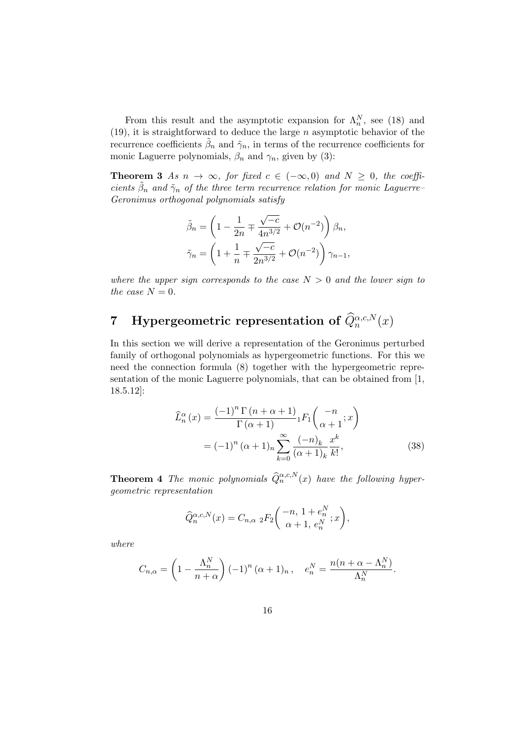From this result and the asymptotic expansion for  $\Lambda_n^N$ , see (18) and (19), it is straightforward to deduce the large  $n$  asymptotic behavior of the recurrence coefficients  $\tilde{\beta}_n$  and  $\tilde{\gamma}_n$ , in terms of the recurrence coefficients for monic Laguerre polynomials,  $\beta_n$  and  $\gamma_n$ , given by (3):

**Theorem 3** As  $n \to \infty$ , for fixed  $c \in (-\infty, 0)$  and  $N \geq 0$ , the coefficients  $\tilde{\beta}_n$  and  $\tilde{\gamma}_n$  of the three term recurrence relation for monic Laguerre-Geronimus orthogonal polynomials satisfy

$$
\tilde{\beta}_n = \left(1 - \frac{1}{2n} \mp \frac{\sqrt{-c}}{4n^{3/2}} + \mathcal{O}(n^{-2})\right)\beta_n,
$$
  

$$
\tilde{\gamma}_n = \left(1 + \frac{1}{n} \mp \frac{\sqrt{-c}}{2n^{3/2}} + \mathcal{O}(n^{-2})\right)\gamma_{n-1},
$$

where the upper sign corresponds to the case  $N > 0$  and the lower sign to the case  $N = 0$ .

## 7 Hypergeometric representation of  $\widehat{Q}_n^{\alpha,c,N}(x)$

In this section we will derive a representation of the Geronimus perturbed family of orthogonal polynomials as hypergeometric functions. For this we need the connection formula (8) together with the hypergeometric representation of the monic Laguerre polynomials, that can be obtained from [1, 18.5.12]:

$$
\widehat{L}_n^{\alpha}(x) = \frac{(-1)^n \Gamma(n + \alpha + 1)}{\Gamma(\alpha + 1)} {}_1F_1\left(\frac{-n}{\alpha + 1}; x\right)
$$

$$
= (-1)^n (\alpha + 1)_n \sum_{k=0}^{\infty} \frac{(-n)_k}{(\alpha + 1)_k} \frac{x^k}{k!},
$$
(38)

**Theorem 4** The monic polynomials  $\widehat{Q}_n^{\alpha,c,N}(x)$  have the following hypergeometric representation

$$
\widehat{Q}_n^{\alpha,c,N}(x) = C_{n,\alpha} 2F_2\bigg(\begin{matrix} -n, 1+e_n^N\\ \alpha+1, e_n^N \end{matrix};x\bigg),
$$

where

$$
C_{n,\alpha} = \left(1 - \frac{\Lambda_n^N}{n+\alpha}\right) (-1)^n (\alpha+1)_n, \quad e_n^N = \frac{n(n+\alpha-\Lambda_n^N)}{\Lambda_n^N}.
$$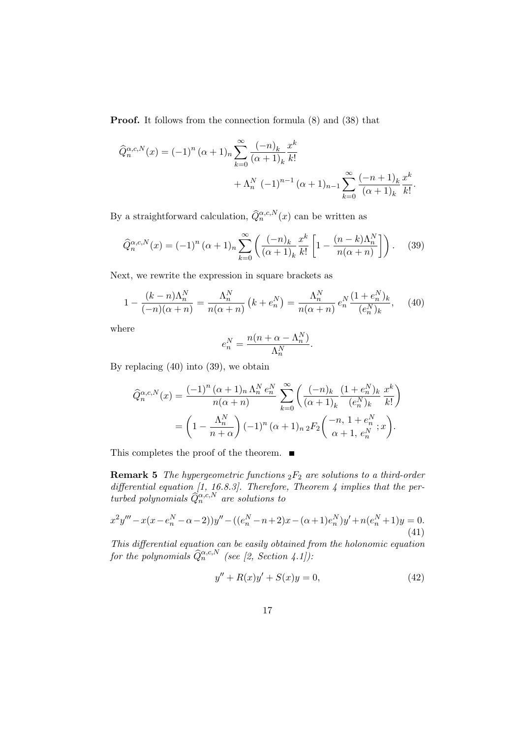Proof. It follows from the connection formula (8) and (38) that

$$
\widehat{Q}_{n}^{\alpha,c,N}(x) = (-1)^{n} (\alpha+1)_{n} \sum_{k=0}^{\infty} \frac{(-n)_{k}}{(\alpha+1)_{k}} \frac{x^{k}}{k!} + \Lambda_{n}^{N} (-1)^{n-1} (\alpha+1)_{n-1} \sum_{k=0}^{\infty} \frac{(-n+1)_{k}}{(\alpha+1)_{k}} \frac{x^{k}}{k!}.
$$

By a straightforward calculation,  $\widehat{Q}_n^{\alpha,c,N}(x)$  can be written as

$$
\widehat{Q}_n^{\alpha,c,N}(x) = (-1)^n (\alpha+1)_n \sum_{k=0}^{\infty} \left( \frac{(-n)_k}{(\alpha+1)_k} \frac{x^k}{k!} \left[ 1 - \frac{(n-k)\Lambda_n^N}{n(\alpha+n)} \right] \right). \tag{39}
$$

Next, we rewrite the expression in square brackets as

$$
1 - \frac{(k-n)\Lambda_n^N}{(-n)(\alpha+n)} = \frac{\Lambda_n^N}{n(\alpha+n)} \left( k + e_n^N \right) = \frac{\Lambda_n^N}{n(\alpha+n)} e_n^N \frac{(1+e_n^N)_k}{(e_n^N)_k}, \quad (40)
$$

where

$$
e_n^N = \frac{n(n + \alpha - \Lambda_n^N)}{\Lambda_n^N}.
$$

By replacing (40) into (39), we obtain

$$
\begin{split} \widehat{Q}_{n}^{\alpha,c,N}(x) &= \frac{(-1)^{n} \left(\alpha + 1\right)_{n} \Lambda_{n}^{N} e_{n}^{N}}{n(\alpha + n)} \sum_{k=0}^{\infty} \left(\frac{(-n)_{k}}{(\alpha + 1)_{k}} \frac{(1 + e_{n}^{N})_{k}}{(e_{n}^{N})_{k}} \frac{x^{k}}{k!}\right) \\ &= \left(1 - \frac{\Lambda_{n}^{N}}{n + \alpha}\right) (-1)^{n} \left(\alpha + 1\right)_{n} {}_{2}F_{2} \left(\frac{-n}{\alpha + 1, e_{n}^{N}} ; x\right). \end{split}
$$

This completes the proof of the theorem.  $\quad \blacksquare$ 

**Remark 5** The hypergeometric functions  ${}_2F_2$  are solutions to a third-order differential equation [1, 16.8.3]. Therefore, Theorem 4 implies that the perturbed polynomials  $\widehat{Q}_{n}^{\alpha,c,N}$  are solutions to

$$
x^{2}y''' - x(x - e_{n}^{N} - \alpha - 2) y'' - ((e_{n}^{N} - n + 2)x - (\alpha + 1)e_{n}^{N})y' + n(e_{n}^{N} + 1)y = 0.
$$
\n(41)

This differential equation can be easily obtained from the holonomic equation for the polynomials  $\widehat{Q}_n^{\alpha,c,N}$  (see [2, Section 4.1]):

$$
y'' + R(x)y' + S(x)y = 0,
$$
\n(42)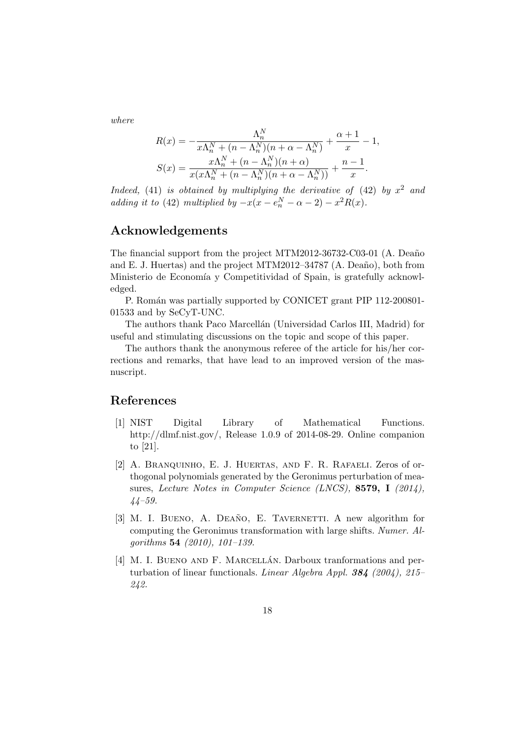where

$$
R(x) = -\frac{\Lambda_n^N}{x\Lambda_n^N + (n - \Lambda_n^N)(n + \alpha - \Lambda_n^N)} + \frac{\alpha + 1}{x} - 1,
$$
  

$$
S(x) = \frac{x\Lambda_n^N + (n - \Lambda_n^N)(n + \alpha)}{x(x\Lambda_n^N + (n - \Lambda_n^N)(n + \alpha - \Lambda_n^N))} + \frac{n - 1}{x}.
$$

Indeed,  $(41)$  is obtained by multiplying the derivative of  $(42)$  by  $x^2$  and adding it to (42) multiplied by  $-x(x-e_n^N - \alpha - 2) - x^2 R(x)$ .

#### Acknowledgements

The financial support from the project MTM2012-36732-C03-01 (A. Deaño and E. J. Huertas) and the project MTM2012–34787  $(A. Deaño)$ , both from Ministerio de Economía y Competitividad of Spain, is gratefully acknowledged.

P. Román was partially supported by CONICET grant PIP 112-200801-01533 and by SeCyT-UNC.

The authors thank Paco Marcellán (Universidad Carlos III, Madrid) for useful and stimulating discussions on the topic and scope of this paper.

The authors thank the anonymous referee of the article for his/her corrections and remarks, that have lead to an improved version of the masnuscript.

#### References

- [1] NIST Digital Library of Mathematical Functions. http://dlmf.nist.gov/, Release 1.0.9 of 2014-08-29. Online companion to [21].
- [2] A. BRANQUINHO, E. J. HUERTAS, AND F. R. RAFAELI. Zeros of orthogonal polynomials generated by the Geronimus perturbation of measures, Lecture Notes in Computer Science (LNCS), 8579, I (2014), 44–59.
- [3] M. I. BUENO, A. DEAÑO, E. TAVERNETTI. A new algorithm for computing the Geronimus transformation with large shifts. Numer. Algorithms 54 (2010), 101–139.
- [4] M. I. BUENO AND F. MARCELLÁN. Darboux tranformations and perturbation of linear functionals. Linear Algebra Appl. 384 (2004), 215– 242.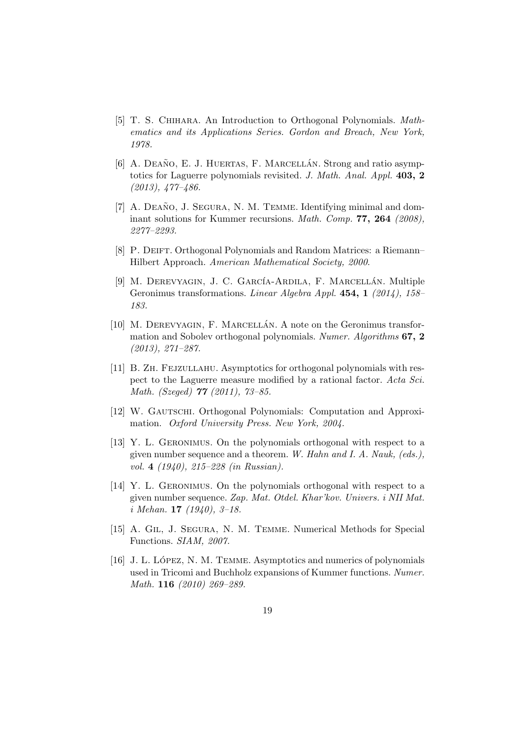- [5] T. S. Chihara. An Introduction to Orthogonal Polynomials. Mathematics and its Applications Series. Gordon and Breach, New York, 1978.
- [6] A. DEAÑO, E. J. HUERTAS, F. MARCELLÁN. Strong and ratio asymptotics for Laguerre polynomials revisited. J. Math. Anal. Appl. 403, 2 (2013), 477–486.
- $[7]$  A. DEANO, J. SEGURA, N. M. TEMME. Identifying minimal and dominant solutions for Kummer recursions. Math. Comp. 77, 264 (2008), 2277–2293.
- [8] P. DEIFT. Orthogonal Polynomials and Random Matrices: a Riemann– Hilbert Approach. American Mathematical Society, 2000.
- [9] M. DEREVYAGIN, J. C. GARCÍA-ARDILA, F. MARCELLÁN. Multiple Geronimus transformations. Linear Algebra Appl. 454, 1  $(2014)$ , 158– 183.
- $[10]$  M. DEREVYAGIN, F. MARCELLÁN. A note on the Geronimus transformation and Sobolev orthogonal polynomials. Numer. Algorithms 67, 2 (2013), 271–287.
- [11] B. Zh. Fejzullahu. Asymptotics for orthogonal polynomials with respect to the Laguerre measure modified by a rational factor. Acta Sci. Math. (Szeged) 77 (2011), 73–85.
- [12] W. GAUTSCHI. Orthogonal Polynomials: Computation and Approximation. Oxford University Press. New York, 2004.
- [13] Y. L. Geronimus. On the polynomials orthogonal with respect to a given number sequence and a theorem. W. Hahn and I. A. Nauk, (eds.), vol. 4 (1940), 215–228 (in Russian).
- [14] Y. L. Geronimus. On the polynomials orthogonal with respect to a given number sequence. Zap. Mat. Otdel. Khar'kov. Univers. i NII Mat.  $i \text{ Mehan.}$  17 (1940), 3-18.
- [15] A. Gil, J. Segura, N. M. Temme. Numerical Methods for Special Functions. SIAM, 2007.
- [16] J. L. LÓPEZ, N. M. TEMME. Asymptotics and numerics of polynomials used in Tricomi and Buchholz expansions of Kummer functions. Numer. Math. 116 (2010) 269-289.